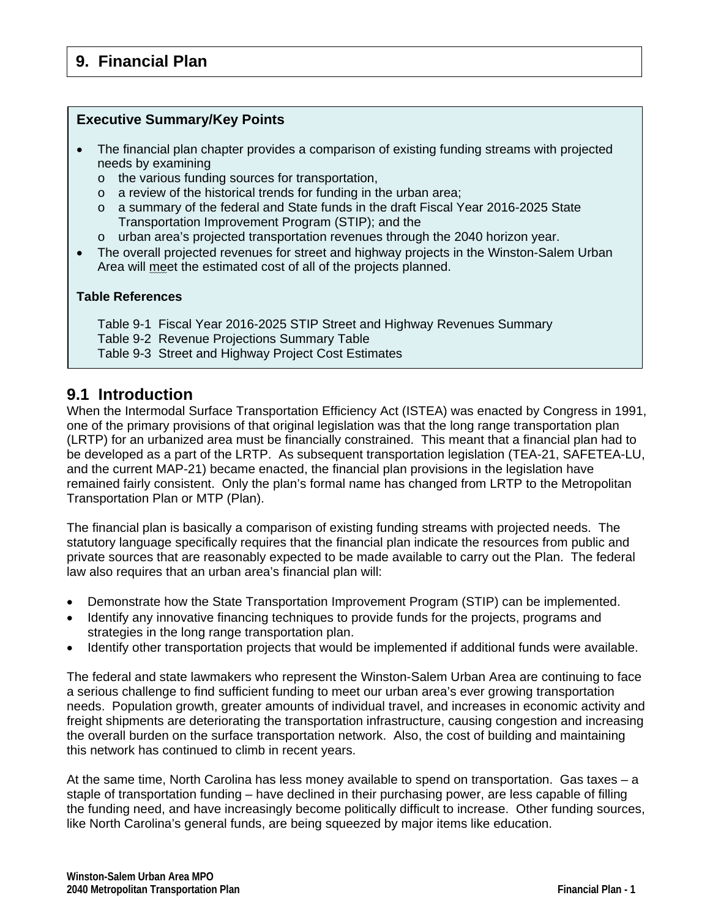### **Executive Summary/Key Points**

- The financial plan chapter provides a comparison of existing funding streams with projected needs by examining
	- o the various funding sources for transportation,
	- $\circ$  a review of the historical trends for funding in the urban area;
	- o a summary of the federal and State funds in the draft Fiscal Year 2016-2025 State Transportation Improvement Program (STIP); and the
	- o urban area's projected transportation revenues through the 2040 horizon year.
- The overall projected revenues for street and highway projects in the Winston-Salem Urban Area will meet the estimated cost of all of the projects planned.

### **Table References**

- Table 9-1 Fiscal Year 2016-2025 STIP Street and Highway Revenues Summary
- Table 9-2 Revenue Projections Summary Table
- Table 9-3 Street and Highway Project Cost Estimates

# **9.1 Introduction**

When the Intermodal Surface Transportation Efficiency Act (ISTEA) was enacted by Congress in 1991, one of the primary provisions of that original legislation was that the long range transportation plan (LRTP) for an urbanized area must be financially constrained. This meant that a financial plan had to be developed as a part of the LRTP. As subsequent transportation legislation (TEA-21, SAFETEA-LU, and the current MAP-21) became enacted, the financial plan provisions in the legislation have remained fairly consistent. Only the plan's formal name has changed from LRTP to the Metropolitan Transportation Plan or MTP (Plan).

The financial plan is basically a comparison of existing funding streams with projected needs. The statutory language specifically requires that the financial plan indicate the resources from public and private sources that are reasonably expected to be made available to carry out the Plan. The federal law also requires that an urban area's financial plan will:

- Demonstrate how the State Transportation Improvement Program (STIP) can be implemented.
- Identify any innovative financing techniques to provide funds for the projects, programs and strategies in the long range transportation plan.
- Identify other transportation projects that would be implemented if additional funds were available.

The federal and state lawmakers who represent the Winston-Salem Urban Area are continuing to face a serious challenge to find sufficient funding to meet our urban area's ever growing transportation needs. Population growth, greater amounts of individual travel, and increases in economic activity and freight shipments are deteriorating the transportation infrastructure, causing congestion and increasing the overall burden on the surface transportation network. Also, the cost of building and maintaining this network has continued to climb in recent years.

At the same time, North Carolina has less money available to spend on transportation. Gas taxes – a staple of transportation funding – have declined in their purchasing power, are less capable of filling the funding need, and have increasingly become politically difficult to increase. Other funding sources, like North Carolina's general funds, are being squeezed by major items like education.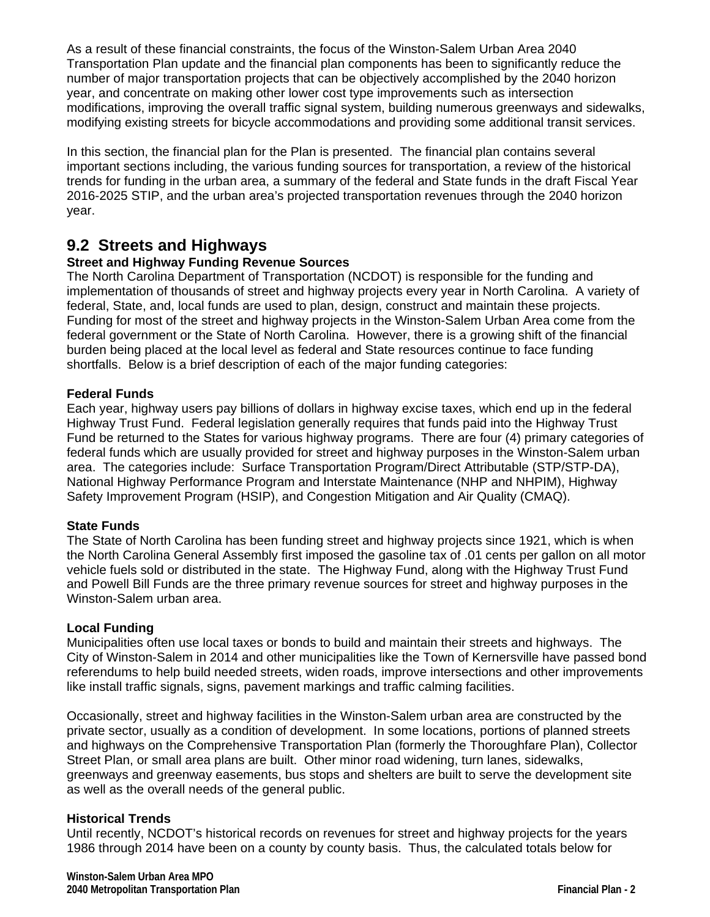As a result of these financial constraints, the focus of the Winston-Salem Urban Area 2040 Transportation Plan update and the financial plan components has been to significantly reduce the number of major transportation projects that can be objectively accomplished by the 2040 horizon year, and concentrate on making other lower cost type improvements such as intersection modifications, improving the overall traffic signal system, building numerous greenways and sidewalks, modifying existing streets for bicycle accommodations and providing some additional transit services.

In this section, the financial plan for the Plan is presented. The financial plan contains several important sections including, the various funding sources for transportation, a review of the historical trends for funding in the urban area, a summary of the federal and State funds in the draft Fiscal Year 2016-2025 STIP, and the urban area's projected transportation revenues through the 2040 horizon year.

# **9.2 Streets and Highways**

## **Street and Highway Funding Revenue Sources**

The North Carolina Department of Transportation (NCDOT) is responsible for the funding and implementation of thousands of street and highway projects every year in North Carolina. A variety of federal, State, and, local funds are used to plan, design, construct and maintain these projects. Funding for most of the street and highway projects in the Winston-Salem Urban Area come from the federal government or the State of North Carolina. However, there is a growing shift of the financial burden being placed at the local level as federal and State resources continue to face funding shortfalls. Below is a brief description of each of the major funding categories:

### **Federal Funds**

Each year, highway users pay billions of dollars in highway excise taxes, which end up in the federal Highway Trust Fund. Federal legislation generally requires that funds paid into the Highway Trust Fund be returned to the States for various highway programs. There are four (4) primary categories of federal funds which are usually provided for street and highway purposes in the Winston-Salem urban area. The categories include: Surface Transportation Program/Direct Attributable (STP/STP-DA), National Highway Performance Program and Interstate Maintenance (NHP and NHPIM), Highway Safety Improvement Program (HSIP), and Congestion Mitigation and Air Quality (CMAQ).

### **State Funds**

The State of North Carolina has been funding street and highway projects since 1921, which is when the North Carolina General Assembly first imposed the gasoline tax of .01 cents per gallon on all motor vehicle fuels sold or distributed in the state. The Highway Fund, along with the Highway Trust Fund and Powell Bill Funds are the three primary revenue sources for street and highway purposes in the Winston-Salem urban area.

### **Local Funding**

Municipalities often use local taxes or bonds to build and maintain their streets and highways. The City of Winston-Salem in 2014 and other municipalities like the Town of Kernersville have passed bond referendums to help build needed streets, widen roads, improve intersections and other improvements like install traffic signals, signs, pavement markings and traffic calming facilities.

Occasionally, street and highway facilities in the Winston-Salem urban area are constructed by the private sector, usually as a condition of development. In some locations, portions of planned streets and highways on the Comprehensive Transportation Plan (formerly the Thoroughfare Plan), Collector Street Plan, or small area plans are built. Other minor road widening, turn lanes, sidewalks, greenways and greenway easements, bus stops and shelters are built to serve the development site as well as the overall needs of the general public.

### **Historical Trends**

Until recently, NCDOT's historical records on revenues for street and highway projects for the years 1986 through 2014 have been on a county by county basis. Thus, the calculated totals below for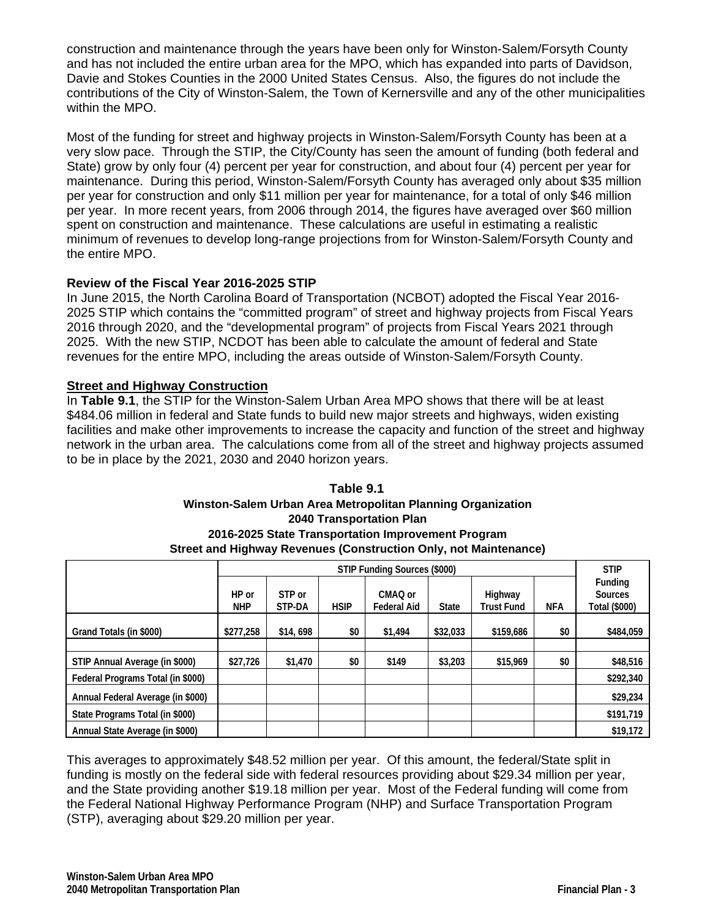construction and maintenance through the years have been only for Winston-Salem/Forsyth County and has not included the entire urban area for the MPO, which has expanded into parts of Davidson, Davie and Stokes Counties in the 2000 United States Census. Also, the figures do not include the contributions of the City of Winston-Salem, the Town of Kernersville and any of the other municipalities within the MPO.

Most of the funding for street and highway projects in Winston-Salem/Forsyth County has been at a very slow pace. Through the STIP, the City/County has seen the amount of funding (both federal and State) grow by only four (4) percent per year for construction, and about four (4) percent per year for maintenance. During this period, Winston-Salem/Forsyth County has averaged only about \$35 million per year for construction and only \$11 million per year for maintenance, for a total of only \$46 million per year. In more recent years, from 2006 through 2014, the figures have averaged over \$60 million spent on construction and maintenance. These calculations are useful in estimating a realistic minimum of revenues to develop long-range projections from for Winston-Salem/Forsyth County and the entire MPO.

# **Review of the Fiscal Year 2016-2025 STIP**

In June 2015, the North Carolina Board of Transportation (NCBOT) adopted the Fiscal Year 2016- 2025 STIP which contains the "committed program" of street and highway projects from Fiscal Years 2016 through 2020, and the "developmental program" of projects from Fiscal Years 2021 through 2025. With the new STIP, NCDOT has been able to calculate the amount of federal and State revenues for the entire MPO, including the areas outside of Winston-Salem/Forsyth County.

# **Street and Highway Construction**

In **Table 9.1**, the STIP for the Winston-Salem Urban Area MPO shows that there will be at least \$484.06 million in federal and State funds to build new major streets and highways, widen existing facilities and make other improvements to increase the capacity and function of the street and highway network in the urban area. The calculations come from all of the street and highway projects assumed to be in place by the 2021, 2030 and 2040 horizon years.

#### **Table 9.1 Winston-Salem Urban Area Metropolitan Planning Organization 2040 Transportation Plan 2016-2025 State Transportation Improvement Program Street and Highway Revenues (Construction Only, not Maintenance)**

|                                   |                     |                  |             | STIP Funding Sources (\$000) |            |                                            |     | <b>STIP</b> |  |
|-----------------------------------|---------------------|------------------|-------------|------------------------------|------------|--------------------------------------------|-----|-------------|--|
|                                   | HP or<br><b>NHP</b> | STP or<br>STP-DA | <b>HSIP</b> | Highway<br><b>Trust Fund</b> | <b>NFA</b> | Funding<br><b>Sources</b><br>Total (\$000) |     |             |  |
| Grand Totals (in \$000)           | \$277,258           | \$14,698         | \$0         | \$1,494                      | \$32,033   | \$159,686                                  | \$0 | \$484,059   |  |
|                                   |                     |                  |             |                              |            |                                            |     |             |  |
| STIP Annual Average (in \$000)    | \$27,726            | \$1,470          | \$0         | \$149                        | \$3,203    | \$15,969                                   | \$0 | \$48,516    |  |
| Federal Programs Total (in \$000) |                     |                  |             |                              |            |                                            |     | \$292,340   |  |
| Annual Federal Average (in \$000) |                     |                  |             |                              |            |                                            |     | \$29,234    |  |
| State Programs Total (in \$000)   |                     |                  |             |                              |            |                                            |     | \$191,719   |  |
| Annual State Average (in \$000)   |                     |                  |             |                              |            |                                            |     | \$19,172    |  |

This averages to approximately \$48.52 million per year. Of this amount, the federal/State split in funding is mostly on the federal side with federal resources providing about \$29.34 million per year, and the State providing another \$19.18 million per year. Most of the Federal funding will come from the Federal National Highway Performance Program (NHP) and Surface Transportation Program (STP), averaging about \$29.20 million per year.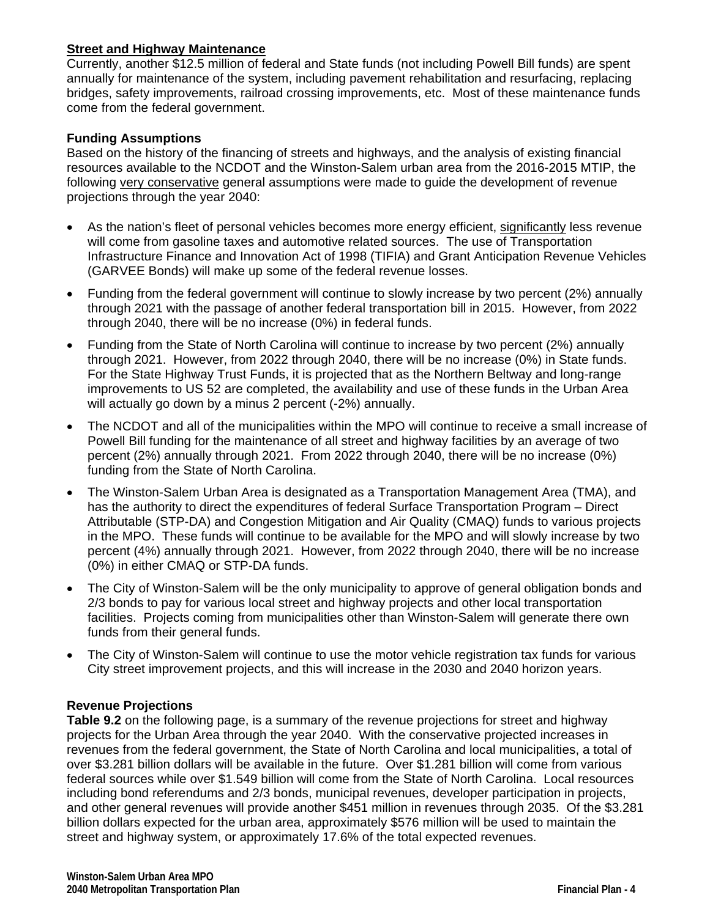### **Street and Highway Maintenance**

Currently, another \$12.5 million of federal and State funds (not including Powell Bill funds) are spent annually for maintenance of the system, including pavement rehabilitation and resurfacing, replacing bridges, safety improvements, railroad crossing improvements, etc. Most of these maintenance funds come from the federal government.

### **Funding Assumptions**

Based on the history of the financing of streets and highways, and the analysis of existing financial resources available to the NCDOT and the Winston-Salem urban area from the 2016-2015 MTIP, the following very conservative general assumptions were made to guide the development of revenue projections through the year 2040:

- As the nation's fleet of personal vehicles becomes more energy efficient, significantly less revenue will come from gasoline taxes and automotive related sources. The use of Transportation Infrastructure Finance and Innovation Act of 1998 (TIFIA) and Grant Anticipation Revenue Vehicles (GARVEE Bonds) will make up some of the federal revenue losses.
- Funding from the federal government will continue to slowly increase by two percent (2%) annually through 2021 with the passage of another federal transportation bill in 2015. However, from 2022 through 2040, there will be no increase (0%) in federal funds.
- Funding from the State of North Carolina will continue to increase by two percent (2%) annually through 2021. However, from 2022 through 2040, there will be no increase (0%) in State funds. For the State Highway Trust Funds, it is projected that as the Northern Beltway and long-range improvements to US 52 are completed, the availability and use of these funds in the Urban Area will actually go down by a minus 2 percent (-2%) annually.
- The NCDOT and all of the municipalities within the MPO will continue to receive a small increase of Powell Bill funding for the maintenance of all street and highway facilities by an average of two percent (2%) annually through 2021. From 2022 through 2040, there will be no increase (0%) funding from the State of North Carolina.
- The Winston-Salem Urban Area is designated as a Transportation Management Area (TMA), and has the authority to direct the expenditures of federal Surface Transportation Program – Direct Attributable (STP-DA) and Congestion Mitigation and Air Quality (CMAQ) funds to various projects in the MPO. These funds will continue to be available for the MPO and will slowly increase by two percent (4%) annually through 2021. However, from 2022 through 2040, there will be no increase (0%) in either CMAQ or STP-DA funds.
- The City of Winston-Salem will be the only municipality to approve of general obligation bonds and 2/3 bonds to pay for various local street and highway projects and other local transportation facilities. Projects coming from municipalities other than Winston-Salem will generate there own funds from their general funds.
- The City of Winston-Salem will continue to use the motor vehicle registration tax funds for various City street improvement projects, and this will increase in the 2030 and 2040 horizon years.

### **Revenue Projections**

**Table 9.2** on the following page, is a summary of the revenue projections for street and highway projects for the Urban Area through the year 2040. With the conservative projected increases in revenues from the federal government, the State of North Carolina and local municipalities, a total of over \$3.281 billion dollars will be available in the future. Over \$1.281 billion will come from various federal sources while over \$1.549 billion will come from the State of North Carolina. Local resources including bond referendums and 2/3 bonds, municipal revenues, developer participation in projects, and other general revenues will provide another \$451 million in revenues through 2035. Of the \$3.281 billion dollars expected for the urban area, approximately \$576 million will be used to maintain the street and highway system, or approximately 17.6% of the total expected revenues.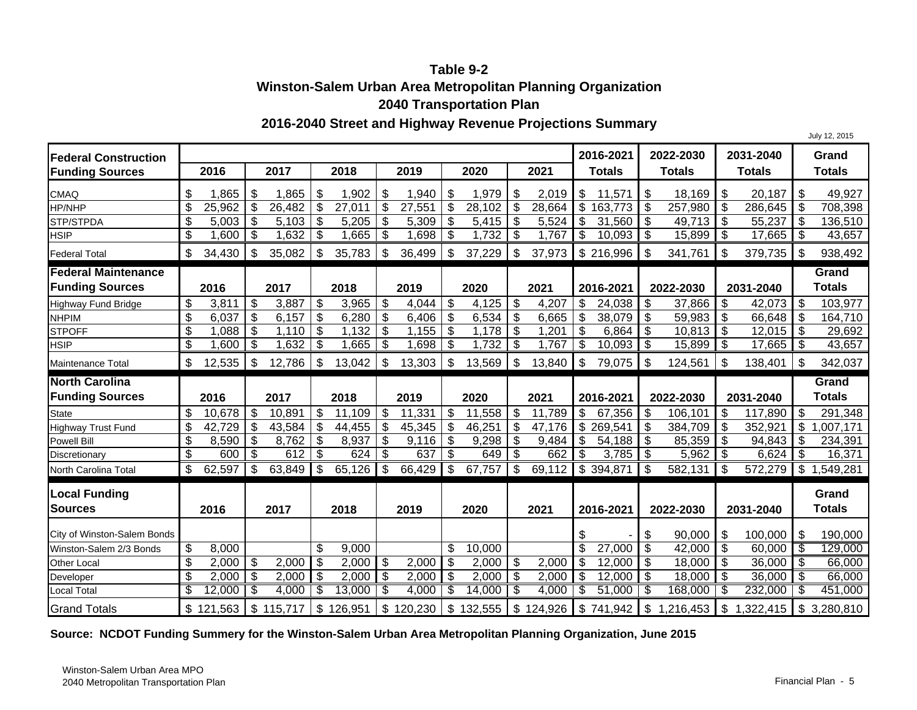# **Table 9-2Winston-Salem Urban Area Metropolitan Planning Organization 2040 Transportation Plan**

#### **2016-2040 Street and Highway Revenue Projections Summary**

**2016-2021 2022-2030 2031-2040 Grand2016 2017 2018 2019 2020 2021 Totals Totals Totals Totals**CMAQQ | \$ 1,865 | \$ 1,865 | \$ 1,902 | \$ 1,940 | \$ 1,979 | \$ 2,019 | \$ 15,571 | \$ 18,169 | \$ 20,187 | \$ 49,927 HP/NHPP ┃\$ 25,962|\$ 26,482|\$ 27,011|\$ 27,551|\$ 28,102|\$ 28,664|\$ 163,773|\$ 257,980|\$ 286,645|\$ 708,398 STP/STPDA \$ 5,103 5,003 \$ 5,205 \$ 5,309 \$ 5,415 \$ 5,524 \$ 31,560 \$ 49,713 \$ 55,237 \$ 136,510 \$ HSIPP ┃\$ 1,600|\$ 1,632|\$ 1,665|\$ 1,698|\$ 1,732|\$ 1,767|\$ 10,093|\$ 15,899|\$ 17,665|\$ 43,657 Federal Total \$ 35,082 34,430 \$ 35,783 \$ 36,499 \$ 37,229 \$ 37,973 \$ 216,996 \$ 341,761 \$ 379,735 \$ 938,492 \$ **Federal Maintenance Funding Sources 2016 2017 2018 2019 2020 2021 2016-2021 2022-2030 2031-2040 Grand Totals** Highway Fund Bridge | \$ 3,811 | \$ 3,887 | \$ 3,965 | \$ 4,044 | \$ 4,125 | \$ 4,207 | \$ 24,038 | \$ 37,866 | \$ 42,073 | \$ 103,977 NHPIM \$ 6,157 6,037 \$ 6,280 \$ 6,406 \$ 6,534 \$ 6,665 \$ 38,079 \$ 59,983 \$ 66,648 \$ 164,710 \$ STPOFFF 1,132 | \$ 1,155 | \$ 1,178 | \$ 1,201 | \$ 6,864 | \$ 10,813 | \$ 12,015 | \$ 29,692 HSIPP ┃\$ 1,600 | \$ 1,632 | \$ 1,665 | \$ 1,698 | \$ 1,732 | \$ 1,767 | \$ 10,093 | \$ 15,899 | \$ 17,665 | \$ 43,657 Maintenance Totall ┃\$ 12,535│\$ 12,786│\$ 13,042│\$ 13,303│\$ 13,569│\$ 13,840┃\$ 79,075┃\$ 124,561│\$ 138,401│\$ 342,037 **North Carolina Funding Sources 2016 2017 2018 2019 2020 2021 2016-2021 2022-2030 2031-2040 Grand Totals** Statee | \$ 10,678 | \$ 10,891 | \$ 11,109 | \$ 11,331 | \$ 11,558 | \$ 11,789 | \$ 67,356 | \$ 106,101 | \$ 117,890 | \$ 291,348 Highway Trust Fund ┃\$ 42,729 │\$ 43,584 │\$ 44,455 │\$ 45,345 │\$ 46,251 │\$ 47,176 ┃\$ 269,541 ┃\$ 384,709 ┃\$ 352,921 ┃\$ 1,007,171 Powell Bill \$ 8,762 8,590 \$ 8,937 \$ 9,116 \$ 9,298 \$ 9,484 \$ 54,188 \$ 85,359 \$ 94,843 \$ 234,391 \$ Discretionary | \$ 600 | \$ 612 | \$ 624 | \$ 637 | \$ 649 | \$ 662 | \$ 3,785 | \$ 5,962 | \$ 6,624 | \$ 16,371 North Carolina Totall | \$ 62,597 | \$ 63,849 | \$ 65,126 | \$ 66,429 | \$ 67,757 | \$ 69,112 | \$ 394,871 | \$ 582,131 | \$ 572,279 | \$ 1,549,281 **Local Funding Sources 2016 2017 2018 2019 2020 2021 2016-2021 2022-2030 2031-2040 Grand Totals** City of Winston-Salem Bonds \$ 90,000 - \$ 100,000 \$ 190,000 \$ Winston-Salem 2/3 Bonds \$ 9,000 8,000 \$ 10,000 \$ 27,000 \$ 42,000 \$ 60,000 \$ 129,000 \$ Other Local \$ 2,000 2,000 \$ 2,000 \$ 2,000 \$ 2,000 \$ 2,000 \$ 12,000 \$ 18,000 \$ 36,000 \$ 66,000 \$ Developer | \$ 2,000 | \$ 2,000 | \$ 2,000 | \$ 2,000 | \$ 2,000 | \$ 12,000 | \$ 18,000 | \$ 36,000 | \$ 66,000 Local Total \$ 4,000 12,000 \$ 13,000 \$ 4,000 \$ 14,000 \$ 4,000 \$ 51,000 \$ 168,000 \$ 232,000 \$ 451,000 \$ Grand Totals 121,563 \$ 115,717 \$ 126,951 \$ 120,230 \$ 132,555 \$ 124,926 \$ 741,942 \$ 1,216,453 \$ 1,322,415 \$ 3,280,810 \$ **Federal Construction Funding Sources**

**Source: NCDOT Funding Summery for the Winston-Salem Urban Area Metropolitan Planning Organization, June 2015**

July 12, 2015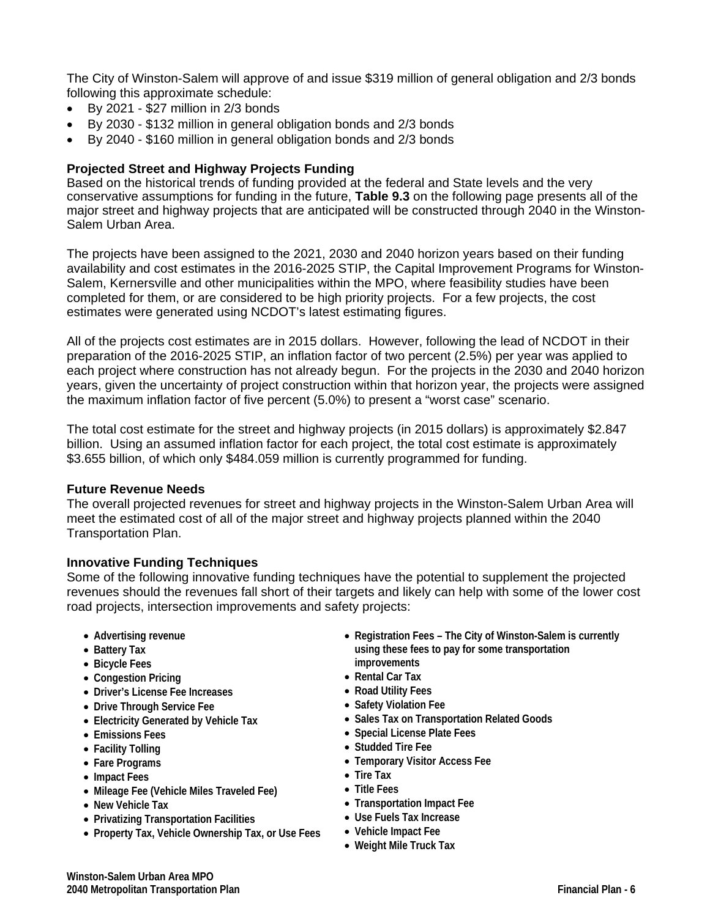The City of Winston-Salem will approve of and issue \$319 million of general obligation and 2/3 bonds following this approximate schedule:

- $\bullet$  By 2021 \$27 million in 2/3 bonds
- By 2030 \$132 million in general obligation bonds and 2/3 bonds
- By 2040 \$160 million in general obligation bonds and 2/3 bonds

#### **Projected Street and Highway Projects Funding**

Based on the historical trends of funding provided at the federal and State levels and the very conservative assumptions for funding in the future, **Table 9.3** on the following page presents all of the major street and highway projects that are anticipated will be constructed through 2040 in the Winston-Salem Urban Area.

The projects have been assigned to the 2021, 2030 and 2040 horizon years based on their funding availability and cost estimates in the 2016-2025 STIP, the Capital Improvement Programs for Winston-Salem, Kernersville and other municipalities within the MPO, where feasibility studies have been completed for them, or are considered to be high priority projects. For a few projects, the cost estimates were generated using NCDOT's latest estimating figures.

All of the projects cost estimates are in 2015 dollars. However, following the lead of NCDOT in their preparation of the 2016-2025 STIP, an inflation factor of two percent (2.5%) per year was applied to each project where construction has not already begun. For the projects in the 2030 and 2040 horizon years, given the uncertainty of project construction within that horizon year, the projects were assigned the maximum inflation factor of five percent (5.0%) to present a "worst case" scenario.

The total cost estimate for the street and highway projects (in 2015 dollars) is approximately \$2.847 billion. Using an assumed inflation factor for each project, the total cost estimate is approximately \$3.655 billion, of which only \$484.059 million is currently programmed for funding.

#### **Future Revenue Needs**

The overall projected revenues for street and highway projects in the Winston-Salem Urban Area will meet the estimated cost of all of the major street and highway projects planned within the 2040 Transportation Plan.

#### **Innovative Funding Techniques**

Some of the following innovative funding techniques have the potential to supplement the projected revenues should the revenues fall short of their targets and likely can help with some of the lower cost road projects, intersection improvements and safety projects:

- **Advertising revenue**
- **Battery Tax**
- **Bicycle Fees**
- **Congestion Pricing**
- **Driver's License Fee Increases**
- **Drive Through Service Fee**
- **Electricity Generated by Vehicle Tax**
- **Emissions Fees**
- **Facility Tolling**
- **Fare Programs**
- **Impact Fees**
- **Mileage Fee (Vehicle Miles Traveled Fee)**
- **New Vehicle Tax**
- **Privatizing Transportation Facilities**
- **Property Tax, Vehicle Ownership Tax, or Use Fees**
- **Registration Fees The City of Winston-Salem is currently using these fees to pay for some transportation improvements**
- **Rental Car Tax**
- **Road Utility Fees**
- **Safety Violation Fee**
- **Sales Tax on Transportation Related Goods**
- **Special License Plate Fees**
- **Studded Tire Fee**
- **Temporary Visitor Access Fee**
- **Tire Tax**
- **Title Fees**
- **Transportation Impact Fee**
- **Use Fuels Tax Increase**
- **Vehicle Impact Fee**
- **Weight Mile Truck Tax**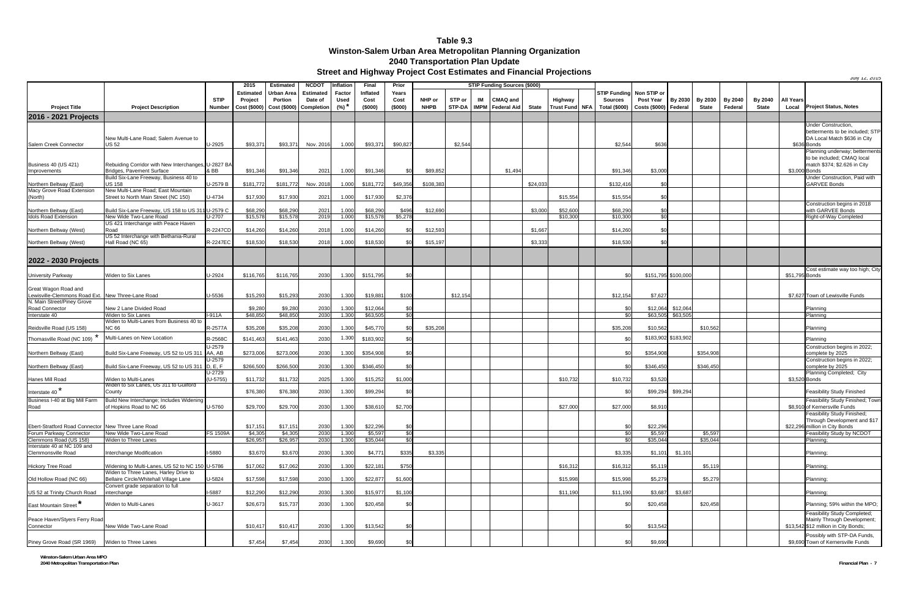July 12, 2015

|                                                       |                                                                                          |                        | 2015             | <b>Estimated</b>        | <b>NCDOT</b> | Inflation | Final     | Prior           | <b>STIP Funding Sources (\$000)</b> |          |    |                             |              |          |                              |                       |                     |              |                |              |                  |                                                              |
|-------------------------------------------------------|------------------------------------------------------------------------------------------|------------------------|------------------|-------------------------|--------------|-----------|-----------|-----------------|-------------------------------------|----------|----|-----------------------------|--------------|----------|------------------------------|-----------------------|---------------------|--------------|----------------|--------------|------------------|--------------------------------------------------------------|
|                                                       |                                                                                          |                        | <b>Estimated</b> | Urban Area              | Estimated    | Factor    | Inflated  | Years           |                                     |          |    |                             |              |          | <b>STIP Fundina</b>          | Non STIP or           |                     |              |                |              |                  |                                                              |
|                                                       |                                                                                          | <b>STIP</b>            | Project          | Portion                 | Date of      | Used      | Cost      | Cost            | NHP or                              | STP or   | IM | CMAQ and                    |              | Highway  | <b>Sources</b>               | Post Year             | By 2030             | By 2030      | <b>By 2040</b> | By 2040      | <b>All Years</b> |                                                              |
| <b>Project Title</b>                                  | <b>Project Description</b>                                                               | <b>Number</b>          | Cost (\$000)     | Cost (\$000) Completion |              | $(%)^*$   | (\$000)   | (\$000)         | <b>NHPB</b>                         |          |    | STP-DA   IMPM   Federal Aid | <b>State</b> |          | Trust Fund NFA Total (\$000) | Costs (\$000) Federal |                     | <b>State</b> | Federal        | <b>State</b> | Local            | <b>Project Status, Notes</b>                                 |
| 2016 - 2021 Projects                                  |                                                                                          |                        |                  |                         |              |           |           |                 |                                     |          |    |                             |              |          |                              |                       |                     |              |                |              |                  |                                                              |
|                                                       |                                                                                          |                        |                  |                         |              |           |           |                 |                                     |          |    |                             |              |          |                              |                       |                     |              |                |              |                  | Under Construction,<br>betterments to be included; STP       |
|                                                       | New Multi-Lane Road; Salem Avenue to                                                     |                        |                  |                         |              |           |           |                 |                                     |          |    |                             |              |          |                              |                       |                     |              |                |              |                  | DA Local Match \$636 in City                                 |
| Salem Creek Connector                                 | US 52                                                                                    | U-2925                 | \$93,371         | \$93,371                | Nov. 2016    | 1.000     | \$93,371  | \$90,827        |                                     | \$2,544  |    |                             |              |          | \$2,544                      | \$636                 |                     |              |                |              |                  | \$636 Bonds                                                  |
|                                                       |                                                                                          |                        |                  |                         |              |           |           |                 |                                     |          |    |                             |              |          |                              |                       |                     |              |                |              |                  | Planning underway; betterments                               |
| <b>Business 40 (US 421)</b>                           | Rebuiding Corridor with New Interchanges, U-2827 BA                                      |                        |                  |                         |              |           |           |                 |                                     |          |    |                             |              |          |                              |                       |                     |              |                |              |                  | to be included; CMAQ local<br>match \$374; \$2.626 in City   |
| Improvements                                          | <b>Bridges, Pavement Surface</b>                                                         | & BB                   | \$91,346         | \$91,346                | 2021         | 1.000     | \$91,346  | \$0             | \$89,852                            |          |    | \$1,494                     |              |          | \$91,346                     | \$3,000               |                     |              |                |              |                  | \$3,000 Bonds                                                |
|                                                       | Build Six-Lane Freeway, Business 40 to                                                   |                        |                  |                         |              |           |           |                 |                                     |          |    |                             |              |          |                              |                       |                     |              |                |              |                  | Jnder Construction, Paid with                                |
| Northern Beltway (East)                               | <b>US 158</b>                                                                            | U-2579 B               | \$181,772        | \$181,772               | Nov. 2018    | 1.000     | \$181,772 | \$49,356        | \$108,383                           |          |    |                             | \$24,033     |          | \$132,416                    |                       |                     |              |                |              |                  | <b>GARVEE Bonds</b>                                          |
| Macy Grove Road Extension<br>(North)                  | New Multi-Lane Road; East Mountain<br>Street to North Main Street (NC 150)               | U-4734                 | \$17,930         | \$17.930                | 2021         | 1.000     | \$17,930  | \$2,376         |                                     |          |    |                             |              | \$15,554 | \$15,554                     | ፍ                     |                     |              |                |              |                  |                                                              |
|                                                       |                                                                                          |                        |                  |                         |              |           |           |                 |                                     |          |    |                             |              |          |                              |                       |                     |              |                |              |                  | Construction begins in 2018                                  |
| Northern Beltway (East)                               | Build Six-Lane Freeway, US 158 to US 311 U-2579 C                                        |                        | \$68,290         | \$68,290                | 2021         | 1.000     | \$68,290  | \$496           | \$12,690                            |          |    |                             | \$3,000      | \$52,600 | \$68,290                     | \$                    |                     |              |                |              |                  | with GARVEE Bonds                                            |
| <b>Idols Road Extension</b>                           | New Wide Two-Lane Road                                                                   | J-2707                 | \$15,578         | \$15,578                | 2019         | 1.000     | \$15,578  | \$5,278         |                                     |          |    |                             |              | \$10,300 | \$10.300                     | \$0                   |                     |              |                |              |                  | Right-of-Way Completed                                       |
| Northern Beltway (West)                               | US 421 Interchange with Peace Haven<br>Road                                              | <b>R-2247CD</b>        | \$14,260         | \$14.260                | 2018         | 1.000     | \$14,260  | \$ſ             | \$12.59                             |          |    |                             | \$1.667      |          | \$14,260                     |                       |                     |              |                |              |                  |                                                              |
|                                                       | US 52 Interchange with Bethania-Rural                                                    |                        |                  |                         |              |           |           |                 |                                     |          |    |                             |              |          |                              |                       |                     |              |                |              |                  |                                                              |
| Northern Beltway (West)                               | Hall Road (NC 65)                                                                        | R-2247EC               | \$18,530         | \$18,530                | 2018         | 1.000     | \$18,530  | \$0             | \$15,19                             |          |    |                             | \$3,333      |          | \$18,530                     | \$0                   |                     |              |                |              |                  |                                                              |
|                                                       |                                                                                          |                        |                  |                         |              |           |           |                 |                                     |          |    |                             |              |          |                              |                       |                     |              |                |              |                  |                                                              |
| 2022 - 2030 Projects                                  |                                                                                          |                        |                  |                         |              |           |           |                 |                                     |          |    |                             |              |          |                              |                       |                     |              |                |              |                  |                                                              |
|                                                       |                                                                                          |                        |                  |                         |              |           |           |                 |                                     |          |    |                             |              |          |                              |                       |                     |              |                |              |                  | Cost estimate way too high; City                             |
| University Parkway                                    | Widen to Six Lanes                                                                       | U-2924                 | \$116,765        | \$116,765               | 2030         | 1.300     | \$151,795 | \$0             |                                     |          |    |                             |              |          | \$0                          |                       | \$151,795 \$100,000 |              |                |              | \$51,795 Bonds   |                                                              |
| Great Wagon Road and                                  |                                                                                          |                        |                  |                         |              |           |           |                 |                                     |          |    |                             |              |          |                              |                       |                     |              |                |              |                  |                                                              |
| Lewisville-Clemmons Road Ext. New Three-Lane Road     |                                                                                          | U-5536                 | \$15.293         | \$15,293                | 2030         | 1.300     | \$19,881  | \$100           |                                     | \$12.154 |    |                             |              |          | \$12.154                     | \$7.627               |                     |              |                |              |                  | \$7.627 Town of Lewisville Funds                             |
| N. Main Street/Piney Grove                            |                                                                                          |                        |                  |                         |              |           |           |                 |                                     |          |    |                             |              |          |                              |                       |                     |              |                |              |                  |                                                              |
| Road Connector                                        | New 2 Lane Divided Road                                                                  |                        | \$9,280          | \$9,280                 | 2030         | 1.300     | \$12,064  | \$0             |                                     |          |    |                             |              |          | \$0                          | \$12,064              | \$12,064            |              |                |              |                  | Planning                                                     |
| Interstate 40                                         | Widen to Six Lanes<br>Widen to Multi-Lanes from Business 40 to                           | -911A                  | \$48,850         | \$48,850                | 2030         | 1.300     | \$63,505  | \$0             |                                     |          |    |                             |              |          | \$0                          | \$63,505              | \$63,505            |              |                |              |                  | Planning                                                     |
| Reidsville Road (US 158)                              | NC 66                                                                                    | R-2577A                | \$35,208         | \$35,208                | 2030         | 1.300     | \$45,770  |                 | \$35,208                            |          |    |                             |              |          | \$35,208                     | \$10.562              |                     | \$10,562     |                |              |                  | Planning                                                     |
| Thomasville Road (NC 109)                             | Multi-Lanes on New Location                                                              | R-2568C                | \$141,463        | \$141,463               | 2030         | 1.300     | \$183,902 |                 |                                     |          |    |                             |              |          | \$0                          |                       | \$183,902 \$183,902 |              |                |              |                  | Planning                                                     |
|                                                       |                                                                                          | U-2579                 |                  |                         |              |           |           |                 |                                     |          |    |                             |              |          |                              |                       |                     |              |                |              |                  | Construction begins in 2022;                                 |
| Northern Beltway (East)                               | Build Six-Lane Freeway, US 52 to US 311                                                  | AA, AB                 | \$273,006        | \$273,006               | 2030         | 1.300     | \$354,908 | \$ <sub>0</sub> |                                     |          |    |                             |              |          | \$0                          | \$354,908             |                     | \$354.908    |                |              |                  | complete by 2025                                             |
|                                                       |                                                                                          | U-2579                 |                  |                         |              |           |           |                 |                                     |          |    |                             |              |          |                              |                       |                     |              |                |              |                  | Construction begins in 2022;                                 |
| Northern Beltway (East)                               | Build Six-Lane Freeway, US 52 to US 311 D, E, F                                          |                        | \$266,500        | \$266,500               | 2030         | 1.300     | \$346,450 | $\Re$           |                                     |          |    |                             |              |          | \$0                          | \$346,450             |                     | \$346.450    |                |              |                  | complete by 2025                                             |
| Hanes Mill Road                                       | Widen to Multi-Lanes                                                                     | $U-2729$<br>$(U-5755)$ | \$11,732         | \$11,732                | 2025         | 1.300     | \$15,252  | \$1,000         |                                     |          |    |                             |              | \$10,732 | \$10,732                     | \$3,520               |                     |              |                |              |                  | Planning Completed; City<br>\$3,520 Bonds                    |
|                                                       | Widen to Six Lanes, US 311 to Guilford                                                   |                        |                  |                         |              |           |           |                 |                                     |          |    |                             |              |          |                              |                       |                     |              |                |              |                  |                                                              |
| Interstate 40 <sup>*</sup>                            | County                                                                                   |                        | \$76,380         | \$76,380                | 2030         | 1.300     | \$99,294  | \$0             |                                     |          |    |                             |              |          | \$C                          | \$99,294              | \$99,294            |              |                |              |                  | <b>Feasibility Study Finished</b>                            |
| Business I-40 at Big Mill Farm                        | Build New Interchange; Includes Widening                                                 |                        |                  |                         |              |           |           |                 |                                     |          |    |                             |              |          |                              |                       |                     |              |                |              |                  | Feasibility Study Finished; Town                             |
| Road                                                  | of Hopkins Road to NC 66                                                                 | U-5760                 | \$29,700         | \$29,700                | 2030         | 1.300     | \$38,610  | \$2,700         |                                     |          |    |                             |              | \$27,000 | \$27,000                     | \$8,91                |                     |              |                |              |                  | \$8,910 of Kernersville Funds<br>Feasibility Study Finished; |
|                                                       |                                                                                          |                        |                  |                         |              |           |           |                 |                                     |          |    |                             |              |          |                              |                       |                     |              |                |              |                  | Through Development and \$17                                 |
| Ebert-Stratford Road Connector New Three Lane Road    |                                                                                          |                        | \$17,151         | \$17,151                | 2030         | 1.300     | \$22,296  | \$0             |                                     |          |    |                             |              |          | \$0                          | \$22,296              |                     |              |                |              |                  | \$22,296 million in City Bonds                               |
| Forum Parkway Connector                               | New Wide Two-Lane Road                                                                   | <b>FS 1509A</b>        | \$4,305          | \$4,305                 | 2030         | 1.300     | \$5,597   | \$0<br>\$0      |                                     |          |    |                             |              |          | \$0                          | \$5,597               |                     | \$5,597      |                |              |                  | Feasibility Study by NCDOT                                   |
| Clemmons Road (US 158)<br>Interstate 40 at NC 109 and | Widen to Three Lanes                                                                     |                        | \$26,957         | \$26,957                | 2030         | 1.300     | \$35,044  |                 |                                     |          |    |                             |              |          | $\frac{1}{2}$                | \$35,044              |                     | \$35,044     |                |              |                  | Planning;                                                    |
| Clemmonsville Road                                    | Interchange Modification                                                                 | I-5880                 | \$3,670          | \$3,670                 | 2030         | 1.300     | \$4,771   | \$335           | \$3,335                             |          |    |                             |              |          | \$3,335                      | \$1,101               | \$1,101             |              |                |              |                  | Planning;                                                    |
|                                                       |                                                                                          |                        |                  |                         |              |           |           |                 |                                     |          |    |                             |              |          |                              |                       |                     |              |                |              |                  |                                                              |
| <b>Hickory Tree Road</b>                              | Widening to Multi-Lanes, US 52 to NC 150 U-5786<br>Widen to Three Lanes, Harley Drive to |                        | \$17,062         | \$17,062                | 2030         | 1.300     | \$22,181  | \$750           |                                     |          |    |                             |              | \$16,312 | \$16,312                     | \$5,119               |                     | \$5,119      |                |              |                  | Planning;                                                    |
| Old Hollow Road (NC 66)                               | Bellaire Circle/Whitehall Village Lane                                                   | U-5824                 | \$17,598         | \$17,598                | 2030         | 1.300     | \$22,877  | \$1,600         |                                     |          |    |                             |              | \$15,998 | \$15,998                     | \$5,279               |                     | \$5,279      |                |              |                  | Planning;                                                    |
|                                                       | Convert grade separation to full                                                         |                        |                  |                         |              |           |           |                 |                                     |          |    |                             |              |          |                              |                       |                     |              |                |              |                  |                                                              |
| US 52 at Trinity Church Road                          | interchange                                                                              | I-5887                 | \$12,290         | \$12,290                | 2030         | 1.300     | \$15,977  | \$1,100         |                                     |          |    |                             |              | \$11,190 | \$11,190                     | \$3,687               | \$3,687             |              |                |              |                  | Planning;                                                    |
| East Mountain Street*                                 | Widen to Multi-Lanes                                                                     | U-3617                 | \$26,673         | \$15,737                | 2030         | 1.300     | \$20,458  | \$0             |                                     |          |    |                             |              |          | \$0                          | \$20,458              |                     | \$20,458     |                |              |                  | Planning; 59% within the MPO;                                |
|                                                       |                                                                                          |                        |                  |                         |              |           |           |                 |                                     |          |    |                             |              |          |                              |                       |                     |              |                |              |                  | Feasibility Study Completed;                                 |
| Peace Haven/Styers Ferry Road                         |                                                                                          |                        |                  |                         |              |           |           |                 |                                     |          |    |                             |              |          |                              |                       |                     |              |                |              |                  | Mainly Through Development                                   |
| Connector                                             | New Wide Two-Lane Road                                                                   |                        | \$10,417         | \$10,417                | 2030         | 1.300     | \$13,542  | \$0             |                                     |          |    |                             |              |          | \$0                          | \$13,542              |                     |              |                |              |                  | \$13,542 \$12 million in City Bonds;                         |
|                                                       |                                                                                          |                        |                  |                         |              |           |           |                 |                                     |          |    |                             |              |          |                              |                       |                     |              |                |              |                  | Possibly with STP-DA Funds,                                  |
| Piney Grove Road (SR 1969)                            | Widen to Three Lanes                                                                     |                        | \$7,454          | \$7,454                 | 2030         | 1.300     | \$9,690   | \$0             |                                     |          |    |                             |              |          | \$0                          | \$9,690               |                     |              |                |              |                  | \$9,690 Town of Kernersville Funds                           |

# **Winston-Salem Urban Area Metropolitan Planning Organization 2040 Transportation Plan Update Street and Highway Project Cost Estimates and Financial Projections Table 9.3**

**Winston-Salem Urban Area MPO 2040 Metropolitan Transportation Plan Financial Plan - 7**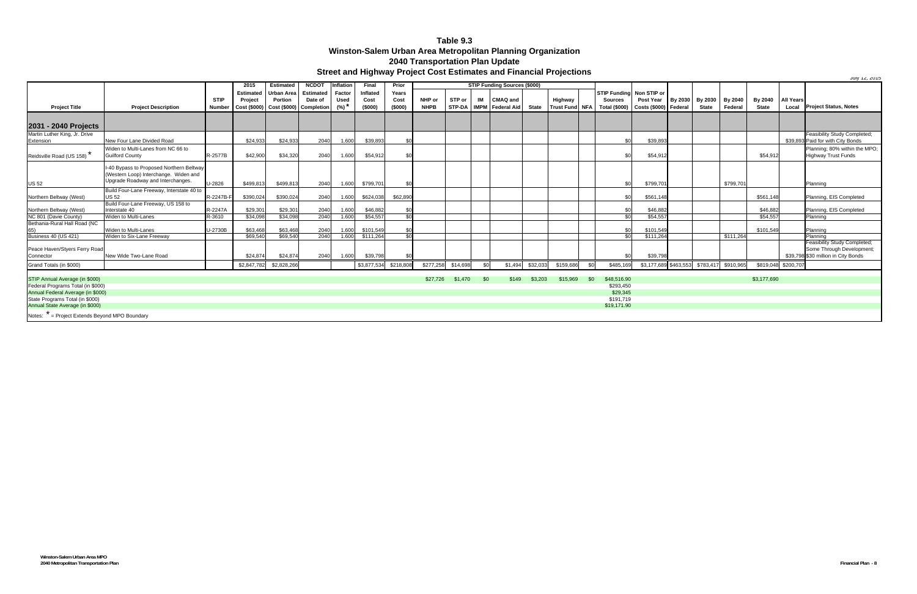July 12, 2015

# **Winston-Salem Urban Area Metropolitan Planning Organization 2040 Transportation Plan Update Street and Highway Project Cost Estimates and Financial Projections Table 9.3**

|                                                |                                                                                                                        |             | 2015                                                                 | <b>Estimated</b> | NCDO <sub>1</sub> | Inflation   | <b>Final</b> | Prior     | STIP Funding Sources (\$000) |          |      |                                     |          |           |      |                                                            |                           |              |                |              |                     |                                                                                                  |
|------------------------------------------------|------------------------------------------------------------------------------------------------------------------------|-------------|----------------------------------------------------------------------|------------------|-------------------|-------------|--------------|-----------|------------------------------|----------|------|-------------------------------------|----------|-----------|------|------------------------------------------------------------|---------------------------|--------------|----------------|--------------|---------------------|--------------------------------------------------------------------------------------------------|
|                                                |                                                                                                                        |             | <b>Estimated</b>                                                     | Urban Area       | <b>Estimated</b>  | Factor      | Inflated     | Years     |                              |          |      |                                     |          |           |      | STIP Funding Non STIP or                                   |                           |              |                |              |                     |                                                                                                  |
|                                                |                                                                                                                        | <b>STIP</b> | Project                                                              | Portion          | Date of           | <b>Used</b> | Cost         | Cost      | NHP or                       | STP or   | IM   | CMAQ and                            |          | Highway   |      | <b>Sources</b>                                             | Post Year By 2030 By 2030 |              | <b>By 2040</b> | By 2040      | <b>All Years</b>    |                                                                                                  |
| <b>Project Title</b>                           | <b>Project Description</b>                                                                                             | Number      | $\vert$ Cost (\$000) $\vert$ Cost (\$000) $\vert$ Completion $\vert$ |                  |                   | (%) *       | (\$000)      | (\$000)   | <b>NHPB</b>                  |          |      | STP-DA   IMPM   Federal Aid   State |          |           |      | Trust Fund   NFA   Total (\$000)   Costs (\$000)   Federal |                           | <b>State</b> | Federal        | <b>State</b> |                     | Local Project Status, Notes                                                                      |
|                                                |                                                                                                                        |             |                                                                      |                  |                   |             |              |           |                              |          |      |                                     |          |           |      |                                                            |                           |              |                |              |                     |                                                                                                  |
| 2031 - 2040 Projects                           |                                                                                                                        |             |                                                                      |                  |                   |             |              |           |                              |          |      |                                     |          |           |      |                                                            |                           |              |                |              |                     |                                                                                                  |
| Martin Luther King, Jr. Drive                  |                                                                                                                        |             |                                                                      |                  |                   |             |              |           |                              |          |      |                                     |          |           |      |                                                            |                           |              |                |              |                     | Feasibility Study Completed;                                                                     |
| Extension                                      | New Four Lane Divided Road                                                                                             |             | \$24.933                                                             | \$24,933         | 2040              | 1.600       | \$39,893     |           |                              |          |      |                                     |          |           |      | \$0                                                        | \$39,893                  |              |                |              |                     | \$39,893 Paid for with City Bonds                                                                |
|                                                | Widen to Multi-Lanes from NC 66 to                                                                                     |             |                                                                      |                  |                   |             |              |           |                              |          |      |                                     |          |           |      |                                                            |                           |              |                |              |                     | Planning; 80% within the MPO;                                                                    |
| Reidsville Road (US 158)                       | <b>Guilford County</b>                                                                                                 | R-2577B     | \$42,900                                                             | \$34,320         | 2040              | 1.600       | \$54,912     |           |                              |          |      |                                     |          |           |      | \$0                                                        | \$54,912                  |              |                | \$54.912     |                     | <b>Highway Trust Funds</b>                                                                       |
|                                                | I-40 Bypass to Proposed Northern Beltway<br>(Western Loop) Interchange. Widen and<br>Upgrade Roadway and Interchanges. |             |                                                                      |                  |                   |             |              |           |                              |          |      |                                     |          |           |      |                                                            |                           |              |                |              |                     |                                                                                                  |
| <b>US 52</b>                                   |                                                                                                                        | U-2826      | \$499.813                                                            | \$499,813        | 2040              | 1.600       | \$799,701    | \$0       |                              |          |      |                                     |          |           |      | \$0                                                        | \$799,701                 |              | \$799,701      |              |                     | Planning                                                                                         |
| Northern Beltway (West)                        | Build Four-Lane Freeway, Interstate 40 to<br><b>US 52</b>                                                              | R-2247B-    | \$390,024                                                            | \$390,024        | 2040              | 1.600       | \$624,038    | \$62,890  |                              |          |      |                                     |          |           |      | \$0                                                        | \$561,148                 |              |                | \$561,148    |                     | Planning, EIS Completed                                                                          |
|                                                | Build Four-Lane Freeway, US 158 to                                                                                     |             |                                                                      |                  |                   |             |              |           |                              |          |      |                                     |          |           |      |                                                            |                           |              |                |              |                     |                                                                                                  |
| Northern Beltway (West)                        | Interstate 40                                                                                                          | R-2247A     | \$29,301                                                             | \$29,301         | 2040              | 1.600       | \$46,882     |           |                              |          |      |                                     |          |           |      | \$0                                                        | \$46,882                  |              |                | \$46,882     |                     | Planning, EIS Completed                                                                          |
| NC 801 (Davie County)                          | Widen to Multi-Lanes                                                                                                   | R-3610      | \$34,098                                                             | \$34,098         | 2040              | 1.600       | \$54,557     | \$0       |                              |          |      |                                     |          |           |      | $\frac{6}{5}$                                              | \$54,557                  |              |                | \$54,557     |                     | Planning                                                                                         |
| Bethania-Rural Hall Road (NC                   | Widen to Multi-Lanes                                                                                                   | U-2730B     | \$63.468                                                             | \$63,468         | 2040              | 1.600       | \$101,549    | \$0       |                              |          |      |                                     |          |           |      | \$0                                                        | \$101,549                 |              |                | \$101,549    |                     | Planning                                                                                         |
| <b>Business 40 (US 421)</b>                    | Widen to Six-Lane Freeway                                                                                              |             | \$69,540                                                             | \$69,540         | 2040              | 1.600       | \$111,264    | \$0       |                              |          |      |                                     |          |           |      | \$0                                                        | \$111,264                 |              | \$111,264      |              |                     | Planning                                                                                         |
| Peace Haven/Styers Ferry Road<br>Connector     | New Wide Two-Lane Road                                                                                                 |             | \$24,874                                                             | \$24,874         | 2040              | 1.600       | \$39,798     |           |                              |          |      |                                     |          |           |      | \$0                                                        | \$39,798                  |              |                |              |                     | Feasibility Study Completed;<br>Some Through Development;<br>\$39,798 \$30 million in City Bonds |
| Grand Totals (in \$000)                        |                                                                                                                        |             | \$2,847,782                                                          | \$2,828,266      |                   |             | \$3,877,534  | \$218,808 | \$277,258                    | \$14,698 | \$0  | \$1.494                             | \$32,033 | \$159,686 | .\$0 | \$485,169                                                  | \$3,177,689 \$463,553     | \$783,417    | \$910,965      |              | \$819,048 \$200,707 |                                                                                                  |
|                                                |                                                                                                                        |             |                                                                      |                  |                   |             |              |           |                              |          |      |                                     |          |           |      |                                                            |                           |              |                |              |                     |                                                                                                  |
| STIP Annual Average (in \$000)                 |                                                                                                                        |             |                                                                      |                  |                   |             |              |           | \$27,726                     | \$1,470  | -\$0 | \$149                               | \$3,203  | \$15,969  | \$0  | \$48,516.90                                                |                           |              |                | \$3,177,690  |                     |                                                                                                  |
| Federal Programs Total (in \$000)              |                                                                                                                        |             |                                                                      |                  |                   |             |              |           |                              |          |      |                                     |          |           |      | \$293.450                                                  |                           |              |                |              |                     |                                                                                                  |
| Annual Federal Average (in \$000)              |                                                                                                                        |             |                                                                      |                  |                   |             |              |           |                              |          |      |                                     |          |           |      | \$29,345                                                   |                           |              |                |              |                     |                                                                                                  |
| State Programs Total (in \$000)                |                                                                                                                        |             |                                                                      |                  |                   |             |              |           |                              |          |      |                                     |          |           |      | \$191,719                                                  |                           |              |                |              |                     |                                                                                                  |
| Annual State Average (in \$000)                |                                                                                                                        |             |                                                                      |                  |                   |             |              |           |                              |          |      |                                     |          |           |      | \$19,171.90                                                |                           |              |                |              |                     |                                                                                                  |
| Notes: * = Project Extends Beyond MPO Boundary |                                                                                                                        |             |                                                                      |                  |                   |             |              |           |                              |          |      |                                     |          |           |      |                                                            |                           |              |                |              |                     |                                                                                                  |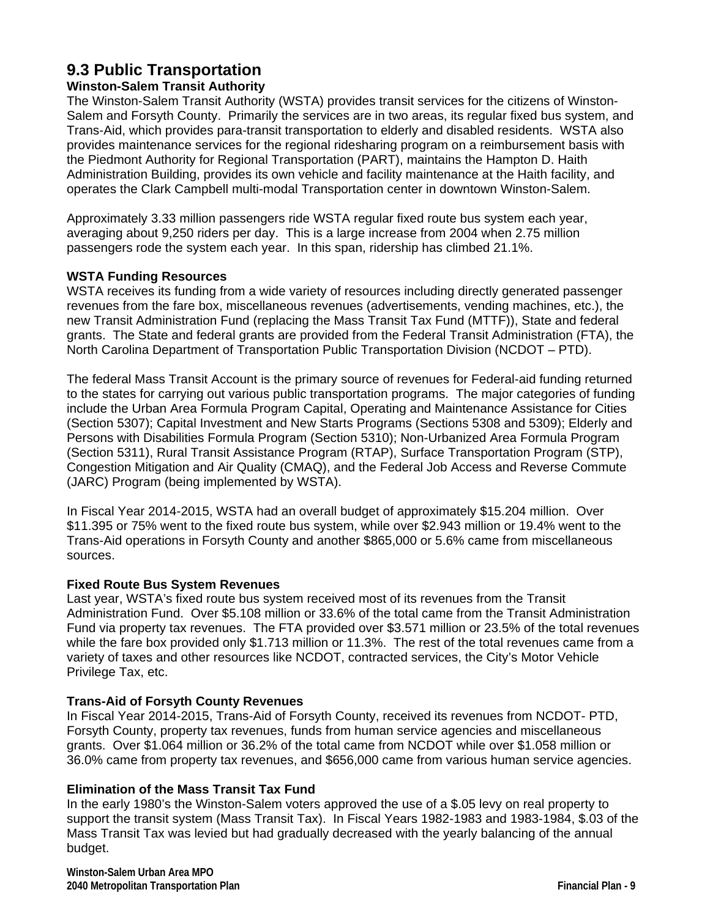# **9.3 Public Transportation**

# **Winston-Salem Transit Authority**

The Winston-Salem Transit Authority (WSTA) provides transit services for the citizens of Winston-Salem and Forsyth County. Primarily the services are in two areas, its regular fixed bus system, and Trans-Aid, which provides para-transit transportation to elderly and disabled residents. WSTA also provides maintenance services for the regional ridesharing program on a reimbursement basis with the Piedmont Authority for Regional Transportation (PART), maintains the Hampton D. Haith Administration Building, provides its own vehicle and facility maintenance at the Haith facility, and operates the Clark Campbell multi-modal Transportation center in downtown Winston-Salem.

Approximately 3.33 million passengers ride WSTA regular fixed route bus system each year, averaging about 9,250 riders per day. This is a large increase from 2004 when 2.75 million passengers rode the system each year. In this span, ridership has climbed 21.1%.

## **WSTA Funding Resources**

WSTA receives its funding from a wide variety of resources including directly generated passenger revenues from the fare box, miscellaneous revenues (advertisements, vending machines, etc.), the new Transit Administration Fund (replacing the Mass Transit Tax Fund (MTTF)), State and federal grants. The State and federal grants are provided from the Federal Transit Administration (FTA), the North Carolina Department of Transportation Public Transportation Division (NCDOT – PTD).

The federal Mass Transit Account is the primary source of revenues for Federal-aid funding returned to the states for carrying out various public transportation programs. The major categories of funding include the Urban Area Formula Program Capital, Operating and Maintenance Assistance for Cities (Section 5307); Capital Investment and New Starts Programs (Sections 5308 and 5309); Elderly and Persons with Disabilities Formula Program (Section 5310); Non-Urbanized Area Formula Program (Section 5311), Rural Transit Assistance Program (RTAP), Surface Transportation Program (STP), Congestion Mitigation and Air Quality (CMAQ), and the Federal Job Access and Reverse Commute (JARC) Program (being implemented by WSTA).

In Fiscal Year 2014-2015, WSTA had an overall budget of approximately \$15.204 million. Over \$11.395 or 75% went to the fixed route bus system, while over \$2.943 million or 19.4% went to the Trans-Aid operations in Forsyth County and another \$865,000 or 5.6% came from miscellaneous sources.

### **Fixed Route Bus System Revenues**

Last year, WSTA's fixed route bus system received most of its revenues from the Transit Administration Fund. Over \$5.108 million or 33.6% of the total came from the Transit Administration Fund via property tax revenues. The FTA provided over \$3.571 million or 23.5% of the total revenues while the fare box provided only \$1.713 million or 11.3%. The rest of the total revenues came from a variety of taxes and other resources like NCDOT, contracted services, the City's Motor Vehicle Privilege Tax, etc.

# **Trans-Aid of Forsyth County Revenues**

In Fiscal Year 2014-2015, Trans-Aid of Forsyth County, received its revenues from NCDOT- PTD, Forsyth County, property tax revenues, funds from human service agencies and miscellaneous grants. Over \$1.064 million or 36.2% of the total came from NCDOT while over \$1.058 million or 36.0% came from property tax revenues, and \$656,000 came from various human service agencies.

# **Elimination of the Mass Transit Tax Fund**

In the early 1980's the Winston-Salem voters approved the use of a \$.05 levy on real property to support the transit system (Mass Transit Tax). In Fiscal Years 1982-1983 and 1983-1984, \$.03 of the Mass Transit Tax was levied but had gradually decreased with the yearly balancing of the annual budget.